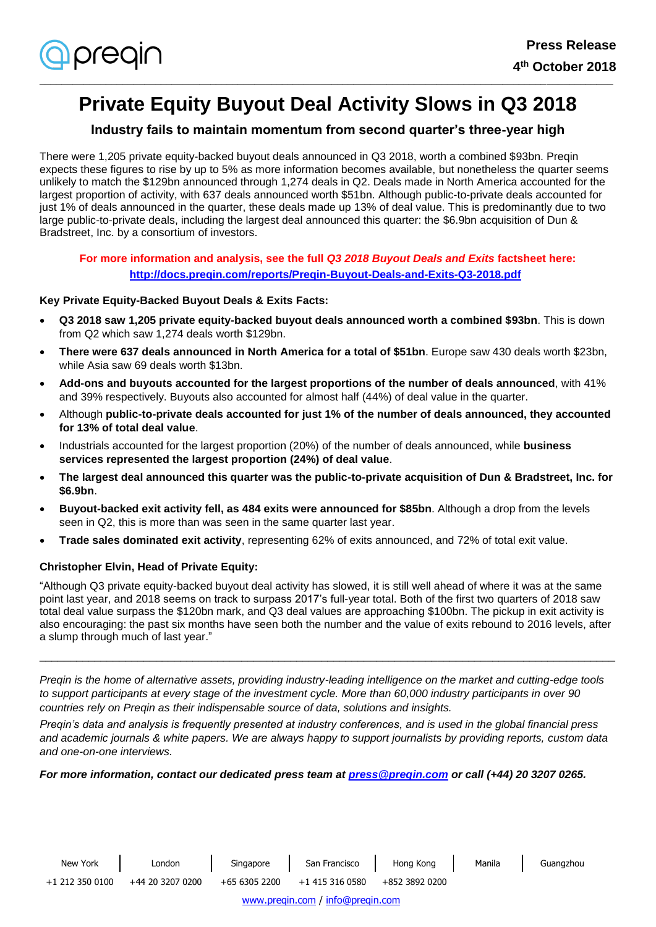

# **Private Equity Buyout Deal Activity Slows in Q3 2018**

**\_\_\_\_\_\_\_\_\_\_\_\_\_\_\_\_\_\_\_\_\_\_\_\_\_\_\_\_\_\_\_\_\_\_\_\_\_\_\_\_\_\_\_\_\_\_\_\_\_\_\_\_\_\_\_\_\_\_\_\_\_\_\_\_\_\_\_\_\_\_\_\_\_\_\_\_\_\_\_\_\_\_\_\_\_\_\_\_\_\_\_\_\_\_\_\_\_\_\_\_\_\_\_\_**

## **Industry fails to maintain momentum from second quarter's three-year high**

There were 1,205 private equity-backed buyout deals announced in Q3 2018, worth a combined \$93bn. Preqin expects these figures to rise by up to 5% as more information becomes available, but nonetheless the quarter seems unlikely to match the \$129bn announced through 1,274 deals in Q2. Deals made in North America accounted for the largest proportion of activity, with 637 deals announced worth \$51bn. Although public-to-private deals accounted for just 1% of deals announced in the quarter, these deals made up 13% of deal value. This is predominantly due to two large public-to-private deals, including the largest deal announced this quarter: the \$6.9bn acquisition of Dun & Bradstreet, Inc. by a consortium of investors.

## **For more information and analysis, see the full** *Q3 2018 Buyout Deals and Exits* **factsheet here: <http://docs.preqin.com/reports/Preqin-Buyout-Deals-and-Exits-Q3-2018.pdf>**

## **Key Private Equity-Backed Buyout Deals & Exits Facts:**

- **Q3 2018 saw 1,205 private equity-backed buyout deals announced worth a combined \$93bn**. This is down from Q2 which saw 1,274 deals worth \$129bn.
- **There were 637 deals announced in North America for a total of \$51bn**. Europe saw 430 deals worth \$23bn, while Asia saw 69 deals worth \$13bn.
- **Add-ons and buyouts accounted for the largest proportions of the number of deals announced**, with 41% and 39% respectively. Buyouts also accounted for almost half (44%) of deal value in the quarter.
- Although **public-to-private deals accounted for just 1% of the number of deals announced, they accounted for 13% of total deal value**.
- Industrials accounted for the largest proportion (20%) of the number of deals announced, while **business services represented the largest proportion (24%) of deal value**.
- **The largest deal announced this quarter was the public-to-private acquisition of Dun & Bradstreet, Inc. for \$6.9bn**.
- **Buyout-backed exit activity fell, as 484 exits were announced for \$85bn**. Although a drop from the levels seen in Q2, this is more than was seen in the same quarter last year.
- **Trade sales dominated exit activity**, representing 62% of exits announced, and 72% of total exit value.

## **Christopher Elvin, Head of Private Equity:**

"Although Q3 private equity-backed buyout deal activity has slowed, it is still well ahead of where it was at the same point last year, and 2018 seems on track to surpass 2017's full-year total. Both of the first two quarters of 2018 saw total deal value surpass the \$120bn mark, and Q3 deal values are approaching \$100bn. The pickup in exit activity is also encouraging: the past six months have seen both the number and the value of exits rebound to 2016 levels, after a slump through much of last year."

\_\_\_\_\_\_\_\_\_\_\_\_\_\_\_\_\_\_\_\_\_\_\_\_\_\_\_\_\_\_\_\_\_\_\_\_\_\_\_\_\_\_\_\_\_\_\_\_\_\_\_\_\_\_\_\_\_\_\_\_\_\_\_\_\_\_\_\_\_\_\_\_\_\_\_\_\_\_\_\_\_\_\_\_\_\_\_\_\_\_\_\_\_\_

*Preqin is the home of alternative assets, providing industry-leading intelligence on the market and cutting-edge tools to support participants at every stage of the investment cycle. More than 60,000 industry participants in over 90 countries rely on Preqin as their indispensable source of data, solutions and insights.*

*Preqin's data and analysis is frequently presented at industry conferences, and is used in the global financial press and academic journals & white papers. We are always happy to support journalists by providing reports, custom data and one-on-one interviews.*

*For more information, contact our dedicated press team at [press@preqin.com](mailto:press@preqin.com) or call (+44) 20 3207 0265.*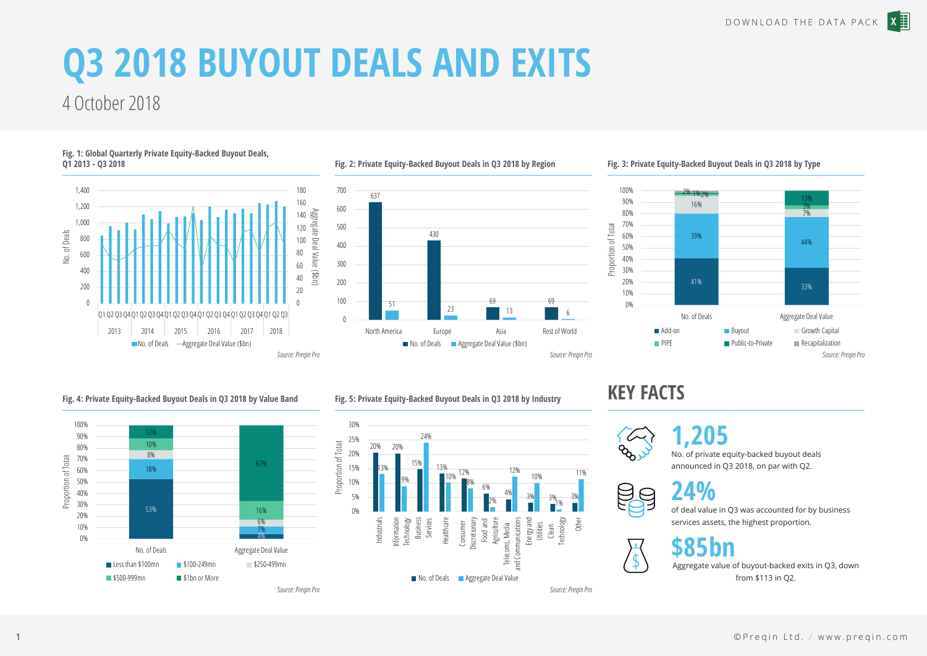# **Q3 2018 BUYOUT DEALS AND EXITS**

# 4 October 2018

**Q1 2013 - Q3 2018**



**Fig. 1: Global Quarterly Private Equity-Backed Buyout Deals,** 

#### **Fig. 2: Private Equity-Backed Buyout Deals in Q3 2018 by Region**



### **Fig. 3: Private Equity-Backed Buyout Deals in Q3 2018 by Type**



### **Fig. 4: Private Equity-Backed Buyout Deals in Q3 2018 by Value Band**



## **Fig. 5: Private Equity-Backed Buyout Deals in Q3 2018 by Industry**



## **KEY FACTS**



## **1,205**

No. of private equity-backed buyout deals announced in Q3 2018, on par with Q2.



 $\frac{1}{2}$ 

# **24%**

of deal value in Q3 was accounted for by business services assets, the highest proportion.



Aggregate value of buyout-backed exits in Q3, down from \$113 in Q2.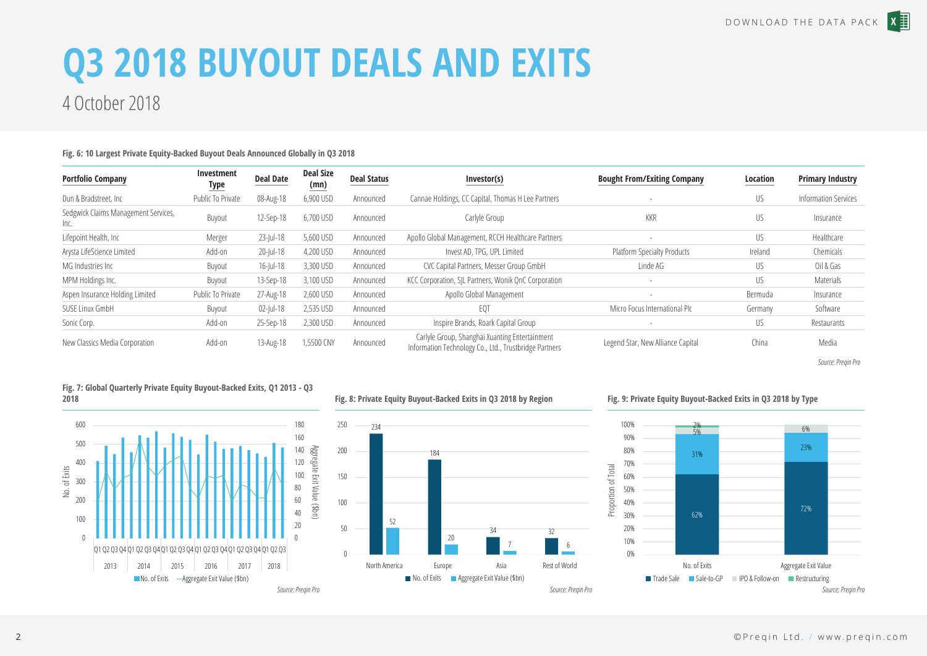# **Q3 2018 BUYOUT DEALS AND EXITS**

## 4 October 2018

## **Fig. 6: 10 Largest Private Equity-Backed Buyout Deals Announced Globally in Q3 2018 Portfolio Company Investment Type Deal Date Deal Size (mn) Deal Status Investor(s) Bought From/Exiting Company Location Primary Industry** Dun & Bradstreet, Inc metal on Public To Private 08-Aug-18 6,900 USD Announced Cannae Holdings, CC Capital, Thomas H Lee Partners - - - US Information Services Sedgwick Claims Management Services,<br>Inc الكات المسلمية المسلمية المسلمية المسلمية المسلمية المسلمية المسلمية المسلمية المسلمية المسلمية المسلمية المسلمي<br>Inc. Lifepoint Health, Inc **Merger** 23-Jul-18 5,600 USD Announced Apollo Global Management, RCCH Healthcare Partners - - US Healthcare Partners - US Arysta LifeScience Limited Add-on 20-Jul-18 4,200 USD Announced Invest AD, TPG, UPL Limited Platform Specialty Products Ireland Chemicals MG Industries Inc **Buyout** 16-Jul-18 3,300 USD Announced CVC Capital Partners, Messer Group GmbH Linde AG US US Oil & Gas MPM Holdings Inc. **Buyout** 13-Sep-18 3,100 USD Announced KCC Corporation, SIL Partners, Wonik OnC Corporation - Proportion - US Materials Aspen Insurance Holding Limited Public To Private 27-Aug-18 2,600 USD Announced Apollo Global Management - - - Bermuda Bermuda Insurance SUSE Linux GmbH Buyout 02-Jul-18 2,535 USD Announced EQT Micro Focus International Plc Germany Software Sonic Corp. **Add-on** 25-Sep-18 2,300 USD Announced Inspire Brands, Roark Capital Group - Produced US Restaurants New Classics Media Corporation Add-on 13-Aug-18 1,5500 CNY Announced Carlyle Group, Shanghai Xuanting Entertainment Legend Star, New Alliance Capital Andreas China China China China China China China China Media China Media China Media China Media China China China China China Media Alegend Star, New Alliance Capital China China China C

*Source: Preqin Pro*



**Fig. 7: Global Quarterly Private Equity Buyout-Backed Exits, Q1 2013 - Q3** 

## **Fig. 8: Private Equity Buyout-Backed Exits in Q3 2018 by Region**



## **Fig. 9: Private Equity Buyout-Backed Exits in Q3 2018 by Type**



**2018**